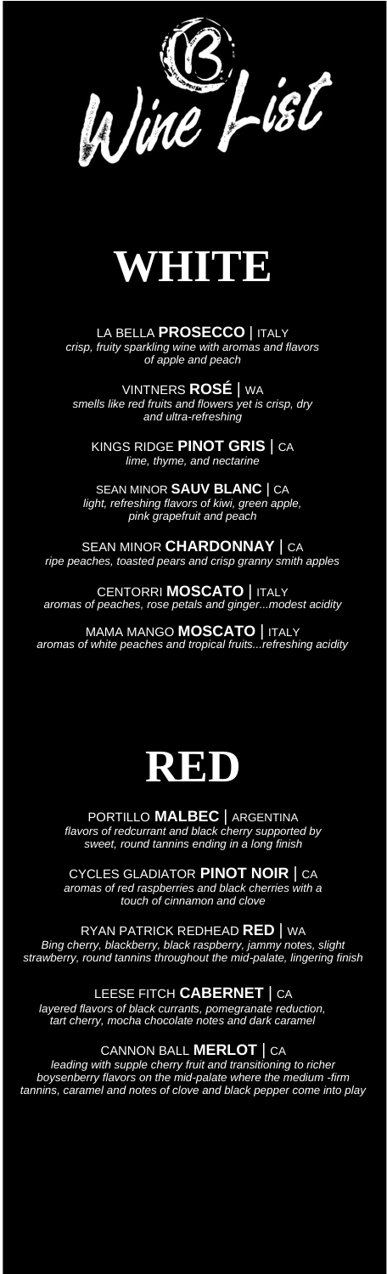Wine  $\frac{1}{2}$  fist



LA BELLA **PROSECCO** | ITALY *crisp, fruity sparkling wine with aromas and flavors of apple and peach*

VINTNERS **ROSÉ** | WA *smells like red fruits and flowers yet is crisp, dry and ultra-refreshing*

KINGS RIDGE **PINOT GRIS** | CA *lime, thyme, and nectarine*

SEAN MINOR **SAUV BLANC** | CA *light, refreshing flavors of kiwi, green apple, pink grapefruit and peach*

SEAN MINOR **CHARDONNAY** | CA *ripe peaches, toasted pears and crisp granny smith apples*

CENTORRI **MOSCATO** | ITALY *aromas of peaches, rose petals and ginger...modest acidity*

MAMA MANGO **MOSCATO** | ITALY *aromas of white peaches and tropical fruits...refreshing acidity*



PORTILLO **MALBEC** | ARGENTINA *flavors of redcurrant and black cherry supported by sweet, round tannins ending in a long finish*

CYCLES GLADIATOR **PINOT NOIR** | CA *aromas of red raspberries and black cherries with a touch of cinnamon and clove*

RYAN PATRICK REDHEAD **RED** | WA *Bing cherry, blackberry, black raspberry, jammy notes, slight strawberry, round tannins throughout the mid-palate, lingering finish* 

LEESE FITCH **CABERNET** | CA *layered flavors of black currants, pomegranate reduction, tart cherry, mocha chocolate notes and dark caramel*

CANNON BALL **MERLOT** | CA

*leading with supple cherry fruit and transitioning to richer boysenberry flavors on the mid-palate where the medium -firm tannins, caramel and notes of clove and black pepper come into play*